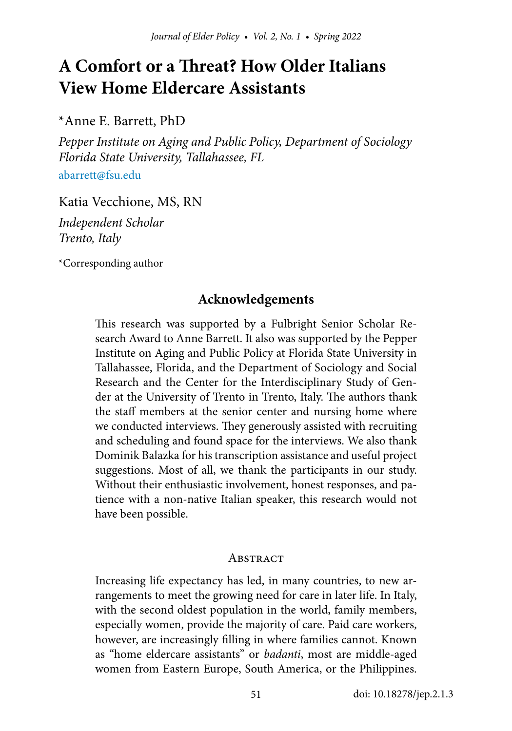# **A Comfort or a Threat? How Older Italians View Home Eldercare Assistants**

\*Anne E. Barrett, PhD

*Pepper Institute on Aging and Public Policy, Department of Sociology Florida State University, Tallahassee, FL* [abarrett@fsu.edu](mailto:abarrett@fsu.edu)

Katia Vecchione, MS, RN

*Independent Scholar Trento, Italy*

\*Corresponding author

# **Acknowledgements**

This research was supported by a Fulbright Senior Scholar Research Award to Anne Barrett. It also was supported by the Pepper Institute on Aging and Public Policy at Florida State University in Tallahassee, Florida, and the Department of Sociology and Social Research and the Center for the Interdisciplinary Study of Gender at the University of Trento in Trento, Italy. The authors thank the staff members at the senior center and nursing home where we conducted interviews. They generously assisted with recruiting and scheduling and found space for the interviews. We also thank Dominik Balazka for his transcription assistance and useful project suggestions. Most of all, we thank the participants in our study. Without their enthusiastic involvement, honest responses, and patience with a non-native Italian speaker, this research would not have been possible.

#### **ABSTRACT**

Increasing life expectancy has led, in many countries, to new arrangements to meet the growing need for care in later life. In Italy, with the second oldest population in the world, family members, especially women, provide the majority of care. Paid care workers, however, are increasingly filling in where families cannot. Known as "home eldercare assistants" or *badanti*, most are middle-aged women from Eastern Europe, South America, or the Philippines.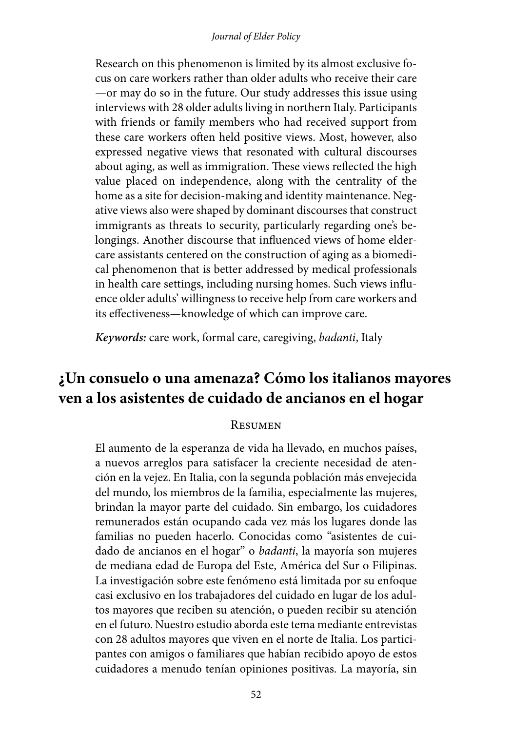#### *Journal of Elder Policy*

Research on this phenomenon is limited by its almost exclusive focus on care workers rather than older adults who receive their care —or may do so in the future. Our study addresses this issue using interviews with 28 older adults living in northern Italy. Participants with friends or family members who had received support from these care workers often held positive views. Most, however, also expressed negative views that resonated with cultural discourses about aging, as well as immigration. These views reflected the high value placed on independence, along with the centrality of the home as a site for decision-making and identity maintenance. Negative views also were shaped by dominant discourses that construct immigrants as threats to security, particularly regarding one's belongings. Another discourse that influenced views of home eldercare assistants centered on the construction of aging as a biomedical phenomenon that is better addressed by medical professionals in health care settings, including nursing homes. Such views influence older adults' willingness to receive help from care workers and its effectiveness—knowledge of which can improve care.

*Keywords:* care work, formal care, caregiving, *badanti*, Italy

# **¿Un consuelo o una amenaza? Cómo los italianos mayores ven a los asistentes de cuidado de ancianos en el hogar**

#### Resumen

El aumento de la esperanza de vida ha llevado, en muchos países, a nuevos arreglos para satisfacer la creciente necesidad de atención en la vejez. En Italia, con la segunda población más envejecida del mundo, los miembros de la familia, especialmente las mujeres, brindan la mayor parte del cuidado. Sin embargo, los cuidadores remunerados están ocupando cada vez más los lugares donde las familias no pueden hacerlo. Conocidas como "asistentes de cuidado de ancianos en el hogar" o *badanti*, la mayoría son mujeres de mediana edad de Europa del Este, América del Sur o Filipinas. La investigación sobre este fenómeno está limitada por su enfoque casi exclusivo en los trabajadores del cuidado en lugar de los adultos mayores que reciben su atención, o pueden recibir su atención en el futuro. Nuestro estudio aborda este tema mediante entrevistas con 28 adultos mayores que viven en el norte de Italia. Los participantes con amigos o familiares que habían recibido apoyo de estos cuidadores a menudo tenían opiniones positivas. La mayoría, sin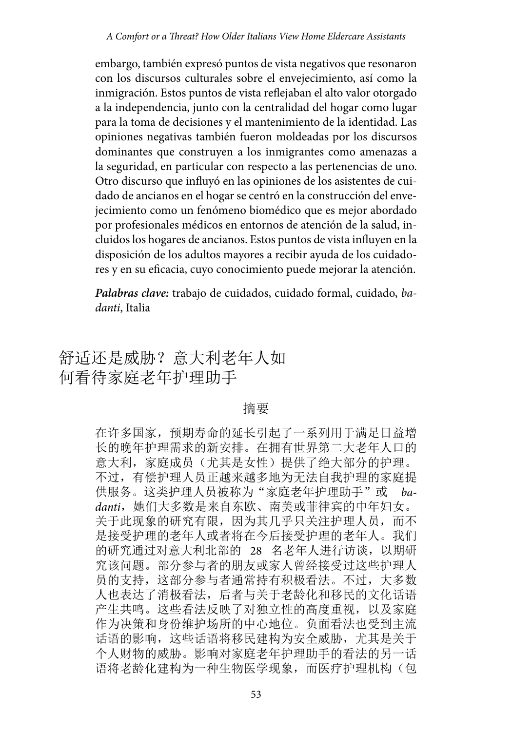embargo, también expresó puntos de vista negativos que resonaron con los discursos culturales sobre el envejecimiento, así como la inmigración. Estos puntos de vista reflejaban el alto valor otorgado a la independencia, junto con la centralidad del hogar como lugar para la toma de decisiones y el mantenimiento de la identidad. Las opiniones negativas también fueron moldeadas por los discursos dominantes que construyen a los inmigrantes como amenazas a la seguridad, en particular con respecto a las pertenencias de uno. Otro discurso que influyó en las opiniones de los asistentes de cuidado de ancianos en el hogar se centró en la construcción del envejecimiento como un fenómeno biomédico que es mejor abordado por profesionales médicos en entornos de atención de la salud, incluidos los hogares de ancianos. Estos puntos de vista influyen en la disposición de los adultos mayores a recibir ayuda de los cuidadores y en su eficacia, cuyo conocimiento puede mejorar la atención.

*Palabras clave:* trabajo de cuidados, cuidado formal, cuidado, *badanti*, Italia

# 舒适还是威胁?意大利老年人如 何看待家庭老年护理助手

#### 摘要

在许多国家,预期寿命的延长引起了一系列用于满足日益增 长的晚年护理需求的新安排。在拥有世界第二大老年人口的 意大利,家庭成员(尤其是女性)提供了绝大部分的护理。 不过,有偿护理人员正越来越多地为无法自我护理的家庭提 供服务。这类护理人员被称为"家庭老年护理助手"或 ba*danti*,她们大多数是来自东欧、南美或菲律宾的中年妇女。 关于此现象的研究有限,因为其几乎只关注护理人员,而不 是接受护理的老年人或者将在今后接受护理的老年人。我们 的研究通过对意大利北部的 28 名老年人进行访谈,以期研 究该问题。部分参与者的朋友或家人曾经接受过这些护理人 员的支持,这部分参与者通常持有积极看法。不过,大多数 人也表达了消极看法,后者与关于老龄化和移民的文化话语 产生共鸣。这些看法反映了对独立性的高度重视,以及家庭 作为决策和身份维护场所的中心地位。负面看法也受到主流 话语的影响,这些话语将移民建构为安全威胁,尤其是关于 个人财物的威胁。影响对家庭老年护理助手的看法的另一话 语将老龄化建构为一种生物医学现象,而医疗护理机构(包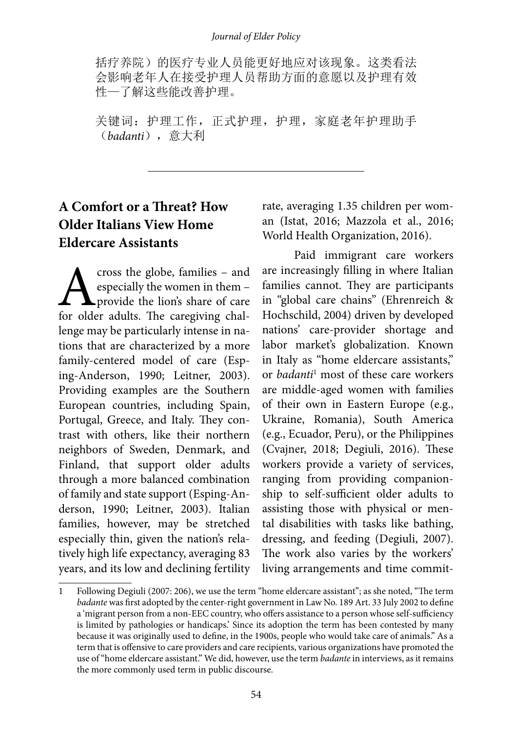括疗养院)的医疗专业人员能更好地应对该现象。这类看法 会影响老年人在接受护理人员帮助方面的意愿以及护理有效 性—了解这些能改善护理。

关键词: 护理工作,正式护理,护理,家庭老年护理助手 (*badanti*),意大利

# **A Comfort or a Threat? How Older Italians View Home Eldercare Assistants**

cross the globe, families - and especially the women in them – provide the lion's share of care for older adults. The caregiving challenge may be particularly intense in nations that are characterized by a more family-centered model of care (Esping-Anderson, 1990; Leitner, 2003). Providing examples are the Southern European countries, including Spain, Portugal, Greece, and Italy. They contrast with others, like their northern neighbors of Sweden, Denmark, and Finland, that support older adults through a more balanced combination of family and state support (Esping-Anderson, 1990; Leitner, 2003). Italian families, however, may be stretched especially thin, given the nation's relatively high life expectancy, averaging 83 years, and its low and declining fertility rate, averaging 1.35 children per woman (Istat, 2016; Mazzola et al., 2016; World Health Organization, 2016).

Paid immigrant care workers are increasingly filling in where Italian families cannot. They are participants in "global care chains" (Ehrenreich & Hochschild, 2004) driven by developed nations' care-provider shortage and labor market's globalization. Known in Italy as "home eldercare assistants," or *badanti*<sup>1</sup> most of these care workers are middle-aged women with families of their own in Eastern Europe (e.g., Ukraine, Romania), South America (e.g., Ecuador, Peru), or the Philippines (Cvajner, 2018; Degiuli, 2016). These workers provide a variety of services, ranging from providing companionship to self-sufficient older adults to assisting those with physical or mental disabilities with tasks like bathing, dressing, and feeding (Degiuli, 2007). The work also varies by the workers' living arrangements and time commit-

<sup>1</sup> Following Degiuli (2007: 206), we use the term "home eldercare assistant"; as she noted, "The term *badante* was first adopted by the center-right government in Law No. 189 Art. 33 July 2002 to define a 'migrant person from a non-EEC country, who offers assistance to a person whose self-sufficiency is limited by pathologies or handicaps.' Since its adoption the term has been contested by many because it was originally used to define, in the 1900s, people who would take care of animals." As a term that is offensive to care providers and care recipients, various organizations have promoted the use of "home eldercare assistant." We did, however, use the term *badante* in interviews, as it remains the more commonly used term in public discourse.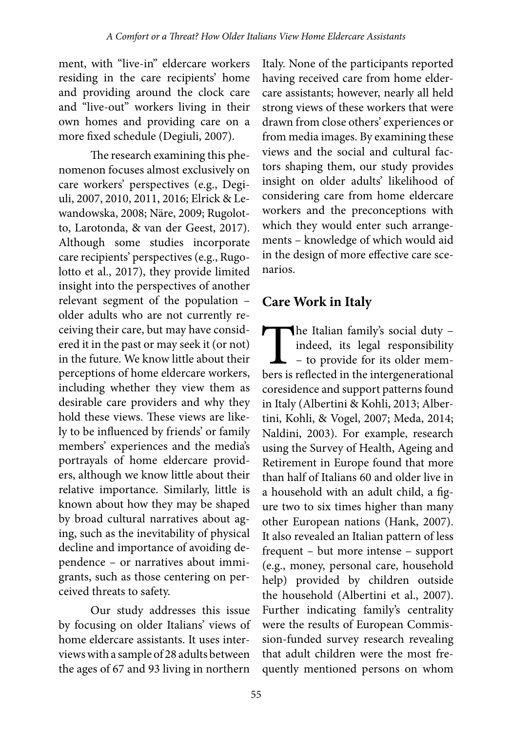ment, with "live-in" eldercare workers residing in the care recipients' home and providing around the clock care and "live-out" workers living in their own homes and providing care on a more fixed schedule (Degiuli, 2007).

The research examining this phenomenon focuses almost exclusively on care workers' perspectives (e.g., Degiuli, 2007, 2010, 2011, 2016; Elrick & Lewandowska, 2008; [Näre](https://www.tandfonline.com/author/N%C3%A4re%2C+Lena), 2009; Rugolotto, Larotonda, & van der Geest, 2017). Although some studies incorporate care recipients' perspectives (e.g., Rugolotto et al., 2017), they provide limited insight into the perspectives of another relevant segment of the population – older adults who are not currently receiving their care, but may have considered it in the past or may seek it (or not) in the future. We know little about their perceptions of home eldercare workers, including whether they view them as desirable care providers and why they hold these views. These views are likely to be influenced by friends' or family members' experiences and the media's portrayals of home eldercare providers, although we know little about their relative importance. Similarly, little is known about how they may be shaped by broad cultural narratives about aging, such as the inevitability of physical decline and importance of avoiding dependence – or narratives about immigrants, such as those centering on perceived threats to safety.

Our study addresses this issue by focusing on older Italians' views of home eldercare assistants. It uses interviews with a sample of 28 adults between the ages of 67 and 93 living in northern

Italy. None of the participants reported having received care from home eldercare assistants; however, nearly all held strong views of these workers that were drawn from close others' experiences or from media images. By examining these views and the social and cultural factors shaping them, our study provides insight on older adults' likelihood of considering care from home eldercare workers and the preconceptions with which they would enter such arrangements – knowledge of which would aid in the design of more effective care scenarios.

# **Care Work in Italy**

The Italian family's social duty –<br>indeed, its legal responsibility<br>– to provide for its older mem-<br>bers is reflected in the intergenerational indeed, its legal responsibility – to provide for its older members is reflected in the intergenerational coresidence and support patterns found in Italy (Albertini & Kohli, 2013; Albertini, Kohli, & Vogel, 2007; Meda, 2014; Naldini, 2003). For example, research using the Survey of Health, Ageing and Retirement in Europe found that more than half of Italians 60 and older live in a household with an adult child, a figure two to six times higher than many other European nations (Hank, 2007). It also revealed an Italian pattern of less frequent – but more intense – support (e.g., money, personal care, household help) provided by children outside the household (Albertini et al., 2007). Further indicating family's centrality were the results of European Commission-funded survey research revealing that adult children were the most frequently mentioned persons on whom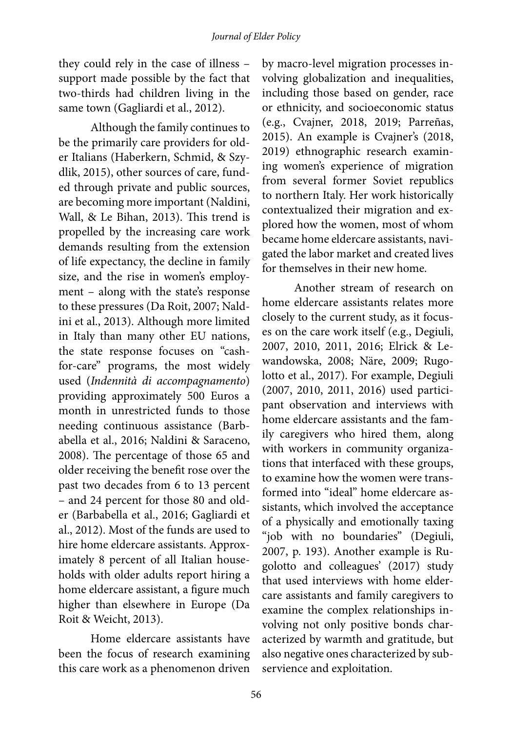they could rely in the case of illness – support made possible by the fact that two-thirds had children living in the same town (Gagliardi et al., 2012).

Although the family continues to be the primarily care providers for older Italians (Haberkern, Schmid, & Szydlik, 2015), other sources of care, funded through private and public sources, are becoming more important (Naldini, Wall, & Le Bihan, 2013). This trend is propelled by the increasing care work demands resulting from the extension of life expectancy, the decline in family size, and the rise in women's employment – along with the state's response to these pressures (Da Roit, 2007; Naldini et al., 2013). Although more limited in Italy than many other EU nations, the state response focuses on "cashfor-care" programs, the most widely used (*Indennità di accompagnamento*) providing approximately 500 Euros a month in unrestricted funds to those needing continuous assistance (Barbabella et al., 2016; Naldini & Saraceno, 2008). The percentage of those 65 and older receiving the benefit rose over the past two decades from 6 to 13 percent – and 24 percent for those 80 and older (Barbabella et al., 2016; Gagliardi et al., 2012). Most of the funds are used to hire home eldercare assistants. Approximately 8 percent of all Italian households with older adults report hiring a home eldercare assistant, a figure much higher than elsewhere in Europe (Da Roit & Weicht, 2013).

Home eldercare assistants have been the focus of research examining this care work as a phenomenon driven

by macro-level migration processes involving globalization and inequalities, including those based on gender, race or ethnicity, and socioeconomic status (e.g., Cvajner, 2018, 2019; Parreñas, 2015). An example is Cvajner's (2018, 2019) ethnographic research examining women's experience of migration from several former Soviet republics to northern Italy. Her work historically contextualized their migration and explored how the women, most of whom became home eldercare assistants, navigated the labor market and created lives for themselves in their new home.

Another stream of research on home eldercare assistants relates more closely to the current study, as it focuses on the care work itself (e.g., Degiuli, 2007, 2010, 2011, 2016; Elrick & Lewandowska, 2008; [Näre,](https://www.tandfonline.com/author/N%C3%A4re%2C+Lena) 2009; Rugolotto et al., 2017). For example, Degiuli (2007, 2010, 2011, 2016) used participant observation and interviews with home eldercare assistants and the family caregivers who hired them, along with workers in community organizations that interfaced with these groups, to examine how the women were transformed into "ideal" home eldercare assistants, which involved the acceptance of a physically and emotionally taxing "job with no boundaries" (Degiuli, 2007, p. 193). Another example is Rugolotto and colleagues' (2017) study that used interviews with home eldercare assistants and family caregivers to examine the complex relationships involving not only positive bonds characterized by warmth and gratitude, but also negative ones characterized by subservience and exploitation.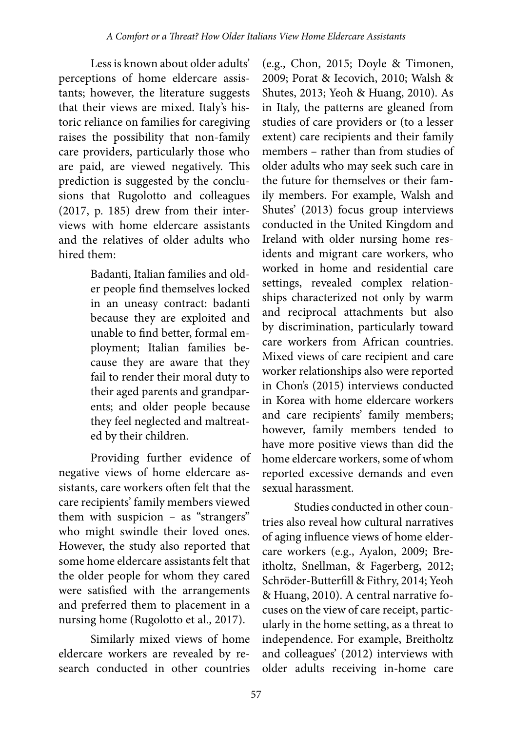Less is known about older adults' perceptions of home eldercare assistants; however, the literature suggests that their views are mixed. Italy's historic reliance on families for caregiving raises the possibility that non-family care providers, particularly those who are paid, are viewed negatively. This prediction is suggested by the conclusions that Rugolotto and colleagues (2017, p. 185) drew from their interviews with home eldercare assistants and the relatives of older adults who hired them:

> Badanti, Italian families and older people find themselves locked in an uneasy contract: badanti because they are exploited and unable to find better, formal employment; Italian families because they are aware that they fail to render their moral duty to their aged parents and grandparents; and older people because they feel neglected and maltreated by their children.

Providing further evidence of negative views of home eldercare assistants, care workers often felt that the care recipients' family members viewed them with suspicion – as "strangers" who might swindle their loved ones. However, the study also reported that some home eldercare assistants felt that the older people for whom they cared were satisfied with the arrangements and preferred them to placement in a nursing home (Rugolotto et al., 2017).

Similarly mixed views of home eldercare workers are revealed by research conducted in other countries

(e.g., Chon, 2015; Doyle & Timonen, 2009; Porat & Iecovich, 2010; Walsh & Shutes, 2013; Yeoh & Huang, 2010). As in Italy, the patterns are gleaned from studies of care providers or (to a lesser extent) care recipients and their family members – rather than from studies of older adults who may seek such care in the future for themselves or their family members. For example, Walsh and Shutes' (2013) focus group interviews conducted in the United Kingdom and Ireland with older nursing home residents and migrant care workers, who worked in home and residential care settings, revealed complex relationships characterized not only by warm and reciprocal attachments but also by discrimination, particularly toward care workers from African countries. Mixed views of care recipient and care worker relationships also were reported in Chon's (2015) interviews conducted in Korea with home eldercare workers and care recipients' family members; however, family members tended to have more positive views than did the home eldercare workers, some of whom reported excessive demands and even sexual harassment.

Studies conducted in other countries also reveal how cultural narratives of aging influence views of home eldercare workers (e.g., Ayalon, 2009; Breitholtz, Snellman, & Fagerberg, 2012; Schröder-Butterfill & Fithry, 2014; Yeoh & Huang, 2010). A central narrative focuses on the view of care receipt, particularly in the home setting, as a threat to independence. For example, Breitholtz and colleagues' (2012) interviews with older adults receiving in-home care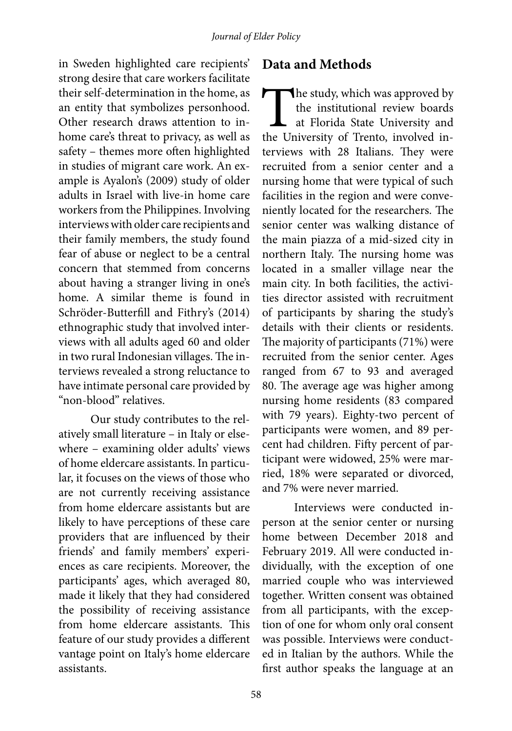in Sweden highlighted care recipients' strong desire that care workers facilitate their self-determination in the home, as an entity that symbolizes personhood. Other research draws attention to inhome care's threat to privacy, as well as safety – themes more often highlighted in studies of migrant care work. An example is Ayalon's (2009) study of older adults in Israel with live-in home care workers from the Philippines. Involving interviews with older care recipients and their family members, the study found fear of abuse or neglect to be a central concern that stemmed from concerns about having a stranger living in one's home. A similar theme is found in Schröder-Butterfill and Fithry's (2014) ethnographic study that involved interviews with all adults aged 60 and older in two rural Indonesian villages. The interviews revealed a strong reluctance to have intimate personal care provided by "non-blood" relatives.

Our study contributes to the relatively small literature – in Italy or elsewhere – examining older adults' views of home eldercare assistants. In particular, it focuses on the views of those who are not currently receiving assistance from home eldercare assistants but are likely to have perceptions of these care providers that are influenced by their friends' and family members' experiences as care recipients. Moreover, the participants' ages, which averaged 80, made it likely that they had considered the possibility of receiving assistance from home eldercare assistants. This feature of our study provides a different vantage point on Italy's home eldercare assistants.

### **Data and Methods**

The study, which was approved by<br>the institutional review boards<br>at Florida State University and<br>the University of Trento, involved inthe institutional review boards at Florida State University and the University of Trento, involved interviews with 28 Italians. They were recruited from a senior center and a nursing home that were typical of such facilities in the region and were conveniently located for the researchers. The senior center was walking distance of the main piazza of a mid-sized city in northern Italy. The nursing home was located in a smaller village near the main city. In both facilities, the activities director assisted with recruitment of participants by sharing the study's details with their clients or residents. The majority of participants (71%) were recruited from the senior center. Ages ranged from 67 to 93 and averaged 80. The average age was higher among nursing home residents (83 compared with 79 years). Eighty-two percent of participants were women, and 89 percent had children. Fifty percent of participant were widowed, 25% were married, 18% were separated or divorced, and 7% were never married.

Interviews were conducted inperson at the senior center or nursing home between December 2018 and February 2019. All were conducted individually, with the exception of one married couple who was interviewed together. Written consent was obtained from all participants, with the exception of one for whom only oral consent was possible. Interviews were conducted in Italian by the authors. While the first author speaks the language at an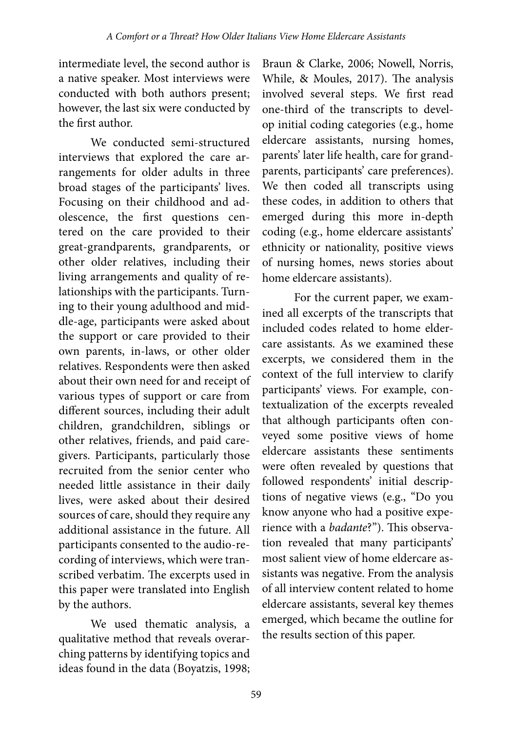intermediate level, the second author is a native speaker. Most interviews were conducted with both authors present; however, the last six were conducted by the first author.

We conducted semi-structured interviews that explored the care arrangements for older adults in three broad stages of the participants' lives. Focusing on their childhood and adolescence, the first questions centered on the care provided to their great-grandparents, grandparents, or other older relatives, including their living arrangements and quality of relationships with the participants. Turning to their young adulthood and middle-age, participants were asked about the support or care provided to their own parents, in-laws, or other older relatives. Respondents were then asked about their own need for and receipt of various types of support or care from different sources, including their adult children, grandchildren, siblings or other relatives, friends, and paid caregivers. Participants, particularly those recruited from the senior center who needed little assistance in their daily lives, were asked about their desired sources of care, should they require any additional assistance in the future. All participants consented to the audio-recording of interviews, which were transcribed verbatim. The excerpts used in this paper were translated into English by the authors.

We used thematic analysis, a qualitative method that reveals overarching patterns by identifying topics and ideas found in the data (Boyatzis, 1998;

Braun & Clarke, 2006; Nowell, Norris, While, & Moules, 2017). The analysis involved several steps. We first read one-third of the transcripts to develop initial coding categories (e.g., home eldercare assistants, nursing homes, parents' later life health, care for grandparents, participants' care preferences). We then coded all transcripts using these codes, in addition to others that emerged during this more in-depth coding (e.g., home eldercare assistants' ethnicity or nationality, positive views of nursing homes, news stories about home eldercare assistants).

For the current paper, we examined all excerpts of the transcripts that included codes related to home eldercare assistants. As we examined these excerpts, we considered them in the context of the full interview to clarify participants' views. For example, contextualization of the excerpts revealed that although participants often conveyed some positive views of home eldercare assistants these sentiments were often revealed by questions that followed respondents' initial descriptions of negative views (e.g., "Do you know anyone who had a positive experience with a *badante*?"). This observation revealed that many participants' most salient view of home eldercare assistants was negative. From the analysis of all interview content related to home eldercare assistants, several key themes emerged, which became the outline for the results section of this paper.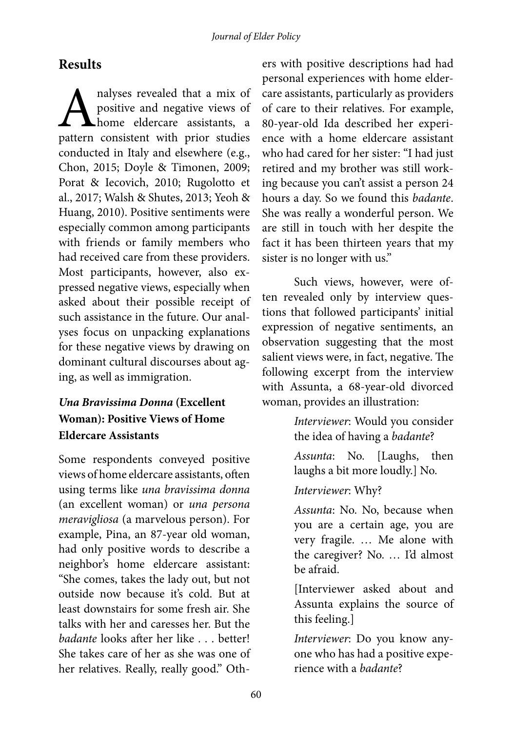# **Results**

A nalyses revealed that a mix of positive and negative views of home eldercare assistants, a pattern consistent with prior studies positive and negative views of home eldercare assistants, a conducted in Italy and elsewhere (e.g., Chon, 2015; Doyle & Timonen, 2009; Porat & Iecovich, 2010; Rugolotto et al., 2017; Walsh & Shutes, 2013; Yeoh & Huang, 2010). Positive sentiments were especially common among participants with friends or family members who had received care from these providers. Most participants, however, also expressed negative views, especially when asked about their possible receipt of such assistance in the future. Our analyses focus on unpacking explanations for these negative views by drawing on dominant cultural discourses about aging, as well as immigration.

# *Una Bravissima Donna* **(Excellent Woman): Positive Views of Home Eldercare Assistants**

Some respondents conveyed positive views of home eldercare assistants, often using terms like *una bravissima donna* (an excellent woman) or *una persona meravigliosa* (a marvelous person). For example, Pina, an 87-year old woman, had only positive words to describe a neighbor's home eldercare assistant: "She comes, takes the lady out, but not outside now because it's cold. But at least downstairs for some fresh air. She talks with her and caresses her. But the *badante* looks after her like . . . better! She takes care of her as she was one of her relatives. Really, really good." Oth-

ers with positive descriptions had had personal experiences with home eldercare assistants, particularly as providers of care to their relatives. For example, 80-year-old Ida described her experience with a home eldercare assistant who had cared for her sister: "I had just retired and my brother was still working because you can't assist a person 24 hours a day. So we found this *badante*. She was really a wonderful person. We are still in touch with her despite the fact it has been thirteen years that my sister is no longer with us."

Such views, however, were often revealed only by interview questions that followed participants' initial expression of negative sentiments, an observation suggesting that the most salient views were, in fact, negative. The following excerpt from the interview with Assunta, a 68-year-old divorced woman, provides an illustration:

> *Interviewer*: Would you consider the idea of having a *badante*?

*Assunta*: No. [Laughs, then laughs a bit more loudly.] No.

### *Interviewer*: Why?

*Assunta*: No. No, because when you are a certain age, you are very fragile. … Me alone with the caregiver? No. … I'd almost be afraid.

[Interviewer asked about and Assunta explains the source of this feeling.]

*Interviewer*: Do you know anyone who has had a positive experience with a *badante*?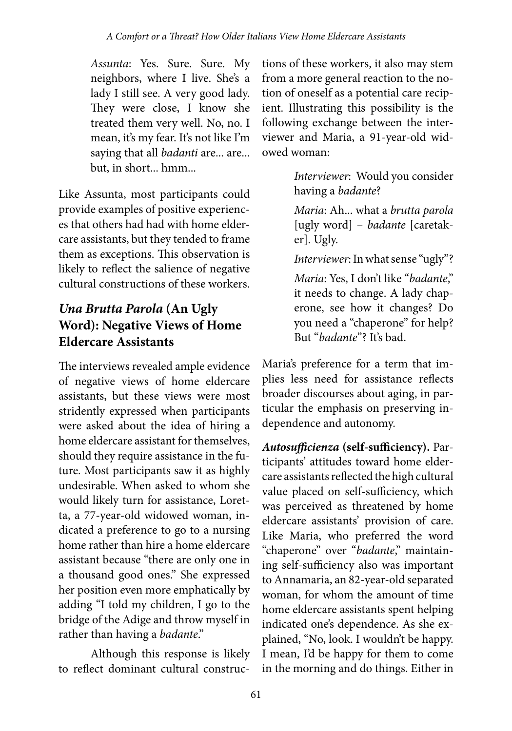*Assunta*: Yes. Sure. Sure. My neighbors, where I live. She's a lady I still see. A very good lady. They were close, I know she treated them very well. No, no. I mean, it's my fear. It's not like I'm saying that all *badanti* are... are... but, in short... hmm...

Like Assunta, most participants could provide examples of positive experiences that others had had with home eldercare assistants, but they tended to frame them as exceptions. This observation is likely to reflect the salience of negative cultural constructions of these workers.

# *Una Brutta Parola* **(An Ugly Word): Negative Views of Home Eldercare Assistants**

The interviews revealed ample evidence of negative views of home eldercare assistants, but these views were most stridently expressed when participants were asked about the idea of hiring a home eldercare assistant for themselves, should they require assistance in the future. Most participants saw it as highly undesirable. When asked to whom she would likely turn for assistance, Loretta, a 77-year-old widowed woman, indicated a preference to go to a nursing home rather than hire a home eldercare assistant because "there are only one in a thousand good ones." She expressed her position even more emphatically by adding "I told my children, I go to the bridge of the Adige and throw myself in rather than having a *badante*."

Although this response is likely to reflect dominant cultural construc-

tions of these workers, it also may stem from a more general reaction to the notion of oneself as a potential care recipient. Illustrating this possibility is the following exchange between the interviewer and Maria, a 91-year-old widowed woman:

> *Interviewer*: Would you consider having a *badante*?

> *Maria*: Ah... what a *brutta parola*  [ugly word] – *badante* [caretaker]. Ugly.

> *Interviewer*: In what sense "ugly"?

*Maria*: Yes, I don't like "*badante*," it needs to change. A lady chaperone, see how it changes? Do you need a "chaperone" for help? But "*badante*"? It's bad.

Maria's preference for a term that implies less need for assistance reflects broader discourses about aging, in particular the emphasis on preserving independence and autonomy.

*Autosufficienza* **(self-sufficiency).** Participants' attitudes toward home eldercare assistants reflected the high cultural value placed on self-sufficiency, which was perceived as threatened by home eldercare assistants' provision of care. Like Maria, who preferred the word "chaperone" over "*badante*," maintaining self-sufficiency also was important to Annamaria, an 82-year-old separated woman, for whom the amount of time home eldercare assistants spent helping indicated one's dependence. As she explained, "No, look. I wouldn't be happy. I mean, I'd be happy for them to come in the morning and do things. Either in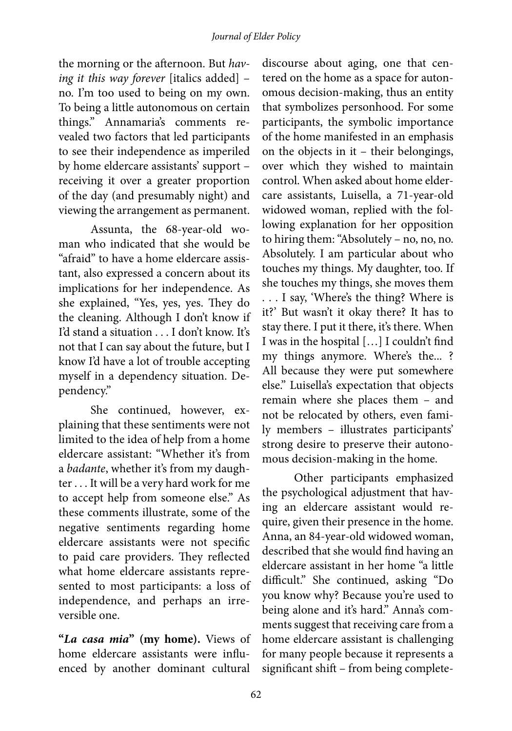the morning or the afternoon. But *having it this way forever* [italics added] – no. I'm too used to being on my own. To being a little autonomous on certain things." Annamaria's comments revealed two factors that led participants to see their independence as imperiled by home eldercare assistants' support – receiving it over a greater proportion of the day (and presumably night) and viewing the arrangement as permanent.

Assunta, the 68-year-old woman who indicated that she would be "afraid" to have a home eldercare assistant, also expressed a concern about its implications for her independence. As she explained, "Yes, yes, yes. They do the cleaning. Although I don't know if I'd stand a situation . . . I don't know. It's not that I can say about the future, but I know I'd have a lot of trouble accepting myself in a dependency situation. Dependency."

She continued, however, explaining that these sentiments were not limited to the idea of help from a home eldercare assistant: "Whether it's from a *badante*, whether it's from my daughter . . . It will be a very hard work for me to accept help from someone else." As these comments illustrate, some of the negative sentiments regarding home eldercare assistants were not specific to paid care providers. They reflected what home eldercare assistants represented to most participants: a loss of independence, and perhaps an irreversible one.

**"***La casa mia***" (my home).** Views of home eldercare assistants were influenced by another dominant cultural

discourse about aging, one that centered on the home as a space for autonomous decision-making, thus an entity that symbolizes personhood. For some participants, the symbolic importance of the home manifested in an emphasis on the objects in it – their belongings, over which they wished to maintain control. When asked about home eldercare assistants, Luisella, a 71-year-old widowed woman, replied with the following explanation for her opposition to hiring them:"Absolutely – no, no, no. Absolutely. I am particular about who touches my things. My daughter, too. If she touches my things, she moves them . . . I say, 'Where's the thing? Where is it?' But wasn't it okay there? It has to stay there. I put it there, it's there. When I was in the hospital […] I couldn't find my things anymore. Where's the... ? All because they were put somewhere else." Luisella's expectation that objects remain where she places them – and not be relocated by others, even family members – illustrates participants' strong desire to preserve their autonomous decision-making in the home.

Other participants emphasized the psychological adjustment that having an eldercare assistant would require, given their presence in the home. Anna, an 84-year-old widowed woman, described that she would find having an eldercare assistant in her home "a little difficult." She continued, asking "Do you know why? Because you're used to being alone and it's hard." Anna's comments suggest that receiving care from a home eldercare assistant is challenging for many people because it represents a significant shift – from being complete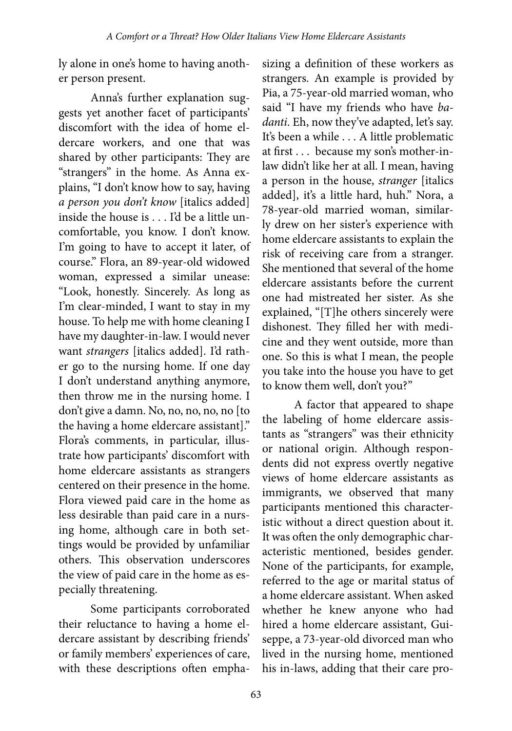ly alone in one's home to having another person present.

Anna's further explanation suggests yet another facet of participants' discomfort with the idea of home eldercare workers, and one that was shared by other participants: They are "strangers" in the home. As Anna explains, "I don't know how to say, having *a person you don't know* [italics added] inside the house is . . . I'd be a little uncomfortable, you know. I don't know. I'm going to have to accept it later, of course." Flora, an 89-year-old widowed woman, expressed a similar unease: "Look, honestly. Sincerely. As long as I'm clear-minded, I want to stay in my house. To help me with home cleaning I have my daughter-in-law. I would never want *strangers* [italics added]. I'd rather go to the nursing home. If one day I don't understand anything anymore, then throw me in the nursing home. I don't give a damn. No, no, no, no, no [to the having a home eldercare assistant]." Flora's comments, in particular, illustrate how participants' discomfort with home eldercare assistants as strangers centered on their presence in the home. Flora viewed paid care in the home as less desirable than paid care in a nursing home, although care in both settings would be provided by unfamiliar others. This observation underscores the view of paid care in the home as especially threatening.

Some participants corroborated their reluctance to having a home eldercare assistant by describing friends' or family members' experiences of care, with these descriptions often empha-

sizing a definition of these workers as strangers. An example is provided by Pia, a 75-year-old married woman, who said "I have my friends who have *badanti*. Eh, now they've adapted, let's say. It's been a while . . . A little problematic at first . . . because my son's mother-inlaw didn't like her at all. I mean, having a person in the house, *stranger* [italics added], it's a little hard, huh." Nora, a 78-year-old married woman, similarly drew on her sister's experience with home eldercare assistants to explain the risk of receiving care from a stranger. She mentioned that several of the home eldercare assistants before the current one had mistreated her sister. As she explained, "[T]he others sincerely were dishonest. They filled her with medicine and they went outside, more than one. So this is what I mean, the people you take into the house you have to get to know them well, don't you?"

A factor that appeared to shape the labeling of home eldercare assistants as "strangers" was their ethnicity or national origin. Although respondents did not express overtly negative views of home eldercare assistants as immigrants, we observed that many participants mentioned this characteristic without a direct question about it. It was often the only demographic characteristic mentioned, besides gender. None of the participants, for example, referred to the age or marital status of a home eldercare assistant. When asked whether he knew anyone who had hired a home eldercare assistant, Guiseppe, a 73-year-old divorced man who lived in the nursing home, mentioned his in-laws, adding that their care pro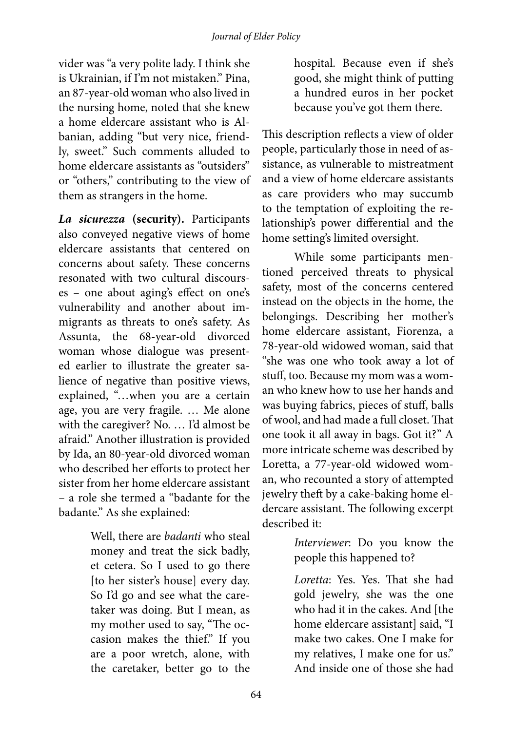vider was "a very polite lady. I think she is Ukrainian, if I'm not mistaken." Pina, an 87-year-old woman who also lived in the nursing home, noted that she knew a home eldercare assistant who is Albanian, adding "but very nice, friendly, sweet." Such comments alluded to home eldercare assistants as "outsiders" or "others," contributing to the view of them as strangers in the home.

*La sicurezza* **(security).** Participants also conveyed negative views of home eldercare assistants that centered on concerns about safety. These concerns resonated with two cultural discourses – one about aging's effect on one's vulnerability and another about immigrants as threats to one's safety. As Assunta, the 68-year-old divorced woman whose dialogue was presented earlier to illustrate the greater salience of negative than positive views, explained, "…when you are a certain age, you are very fragile. … Me alone with the caregiver? No. ... I'd almost be afraid." Another illustration is provided by Ida, an 80-year-old divorced woman who described her efforts to protect her sister from her home eldercare assistant – a role she termed a "badante for the badante." As she explained:

> Well, there are *badanti* who steal money and treat the sick badly, et cetera. So I used to go there [to her sister's house] every day. So I'd go and see what the caretaker was doing. But I mean, as my mother used to say, "The occasion makes the thief." If you are a poor wretch, alone, with the caretaker, better go to the

hospital. Because even if she's good, she might think of putting a hundred euros in her pocket because you've got them there.

This description reflects a view of older people, particularly those in need of assistance, as vulnerable to mistreatment and a view of home eldercare assistants as care providers who may succumb to the temptation of exploiting the relationship's power differential and the home setting's limited oversight.

While some participants mentioned perceived threats to physical safety, most of the concerns centered instead on the objects in the home, the belongings. Describing her mother's home eldercare assistant, Fiorenza, a 78-year-old widowed woman, said that "she was one who took away a lot of stuff, too. Because my mom was a woman who knew how to use her hands and was buying fabrics, pieces of stuff, balls of wool, and had made a full closet. That one took it all away in bags. Got it?" A more intricate scheme was described by Loretta, a 77-year-old widowed woman, who recounted a story of attempted jewelry theft by a cake-baking home eldercare assistant. The following excerpt described it:

> *Interviewer*: Do you know the people this happened to?

*Loretta*: Yes. Yes. That she had gold jewelry, she was the one who had it in the cakes. And [the home eldercare assistant] said, "I make two cakes. One I make for my relatives, I make one for us." And inside one of those she had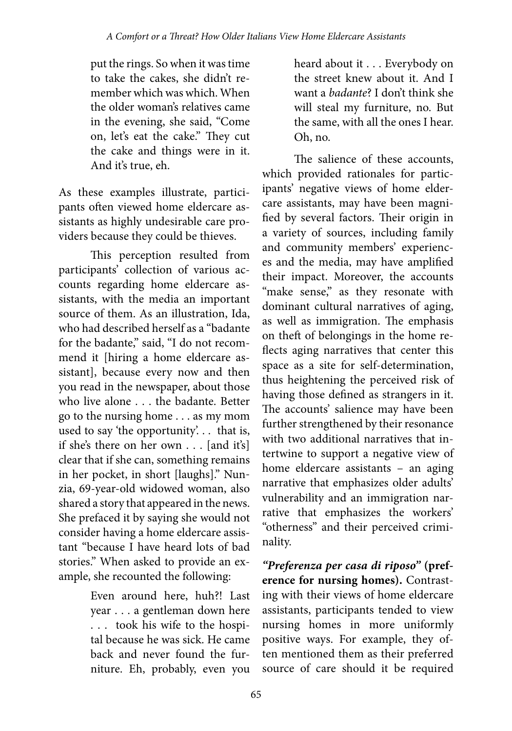put the rings. So when it was time to take the cakes, she didn't remember which was which. When the older woman's relatives came in the evening, she said, "Come on, let's eat the cake." They cut the cake and things were in it. And it's true, eh.

As these examples illustrate, participants often viewed home eldercare assistants as highly undesirable care providers because they could be thieves.

This perception resulted from participants' collection of various accounts regarding home eldercare assistants, with the media an important source of them. As an illustration, Ida, who had described herself as a "badante for the badante," said, "I do not recommend it [hiring a home eldercare assistant], because every now and then you read in the newspaper, about those who live alone . . . the badante. Better go to the nursing home . . . as my mom used to say 'the opportunity'. . . that is, if she's there on her own . . . [and it's] clear that if she can, something remains in her pocket, in short [laughs]." Nunzia, 69-year-old widowed woman, also shared a story that appeared in the news. She prefaced it by saying she would not consider having a home eldercare assistant "because I have heard lots of bad stories." When asked to provide an example, she recounted the following:

> Even around here, huh?! Last year . . . a gentleman down here . . . took his wife to the hospital because he was sick. He came back and never found the furniture. Eh, probably, even you

heard about it . . . Everybody on the street knew about it. And I want a *badante*? I don't think she will steal my furniture, no. But the same, with all the ones I hear. Oh, no.

The salience of these accounts, which provided rationales for participants' negative views of home eldercare assistants, may have been magnified by several factors. Their origin in a variety of sources, including family and community members' experiences and the media, may have amplified their impact. Moreover, the accounts "make sense," as they resonate with dominant cultural narratives of aging, as well as immigration. The emphasis on theft of belongings in the home reflects aging narratives that center this space as a site for self-determination, thus heightening the perceived risk of having those defined as strangers in it. The accounts' salience may have been further strengthened by their resonance with two additional narratives that intertwine to support a negative view of home eldercare assistants – an aging narrative that emphasizes older adults' vulnerability and an immigration narrative that emphasizes the workers' "otherness" and their perceived criminality.

*"Preferenza per casa di riposo"* **(preference for nursing homes).** Contrasting with their views of home eldercare assistants, participants tended to view nursing homes in more uniformly positive ways. For example, they often mentioned them as their preferred source of care should it be required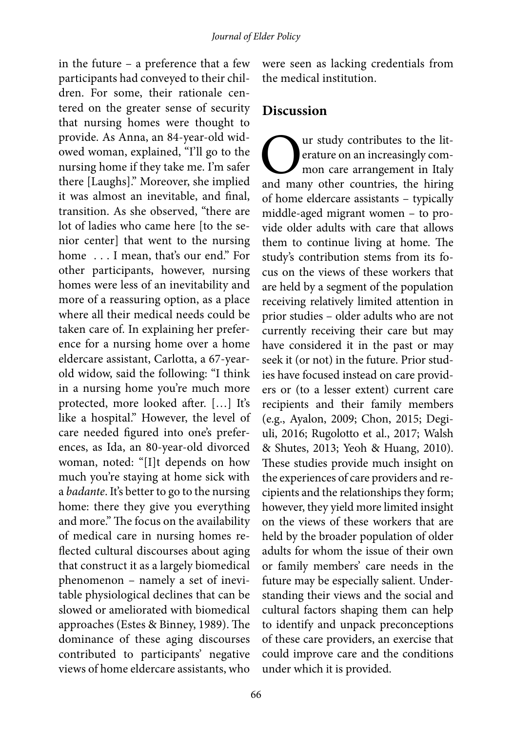in the future – a preference that a few participants had conveyed to their children. For some, their rationale centered on the greater sense of security that nursing homes were thought to provide. As Anna, an 84-year-old widowed woman, explained, "I'll go to the nursing home if they take me. I'm safer there [Laughs]." Moreover, she implied it was almost an inevitable, and final, transition. As she observed, "there are lot of ladies who came here [to the senior center] that went to the nursing home ... I mean, that's our end." For other participants, however, nursing homes were less of an inevitability and more of a reassuring option, as a place where all their medical needs could be taken care of. In explaining her preference for a nursing home over a home eldercare assistant, Carlotta, a 67-yearold widow, said the following: "I think in a nursing home you're much more protected, more looked after. […] It's like a hospital." However, the level of care needed figured into one's preferences, as Ida, an 80-year-old divorced woman, noted: "[I]t depends on how much you're staying at home sick with a *badante*. It's better to go to the nursing home: there they give you everything and more." The focus on the availability of medical care in nursing homes reflected cultural discourses about aging that construct it as a largely biomedical phenomenon – namely a set of inevitable physiological declines that can be slowed or ameliorated with biomedical approaches (Estes & Binney, 1989). The dominance of these aging discourses contributed to participants' negative views of home eldercare assistants, who

were seen as lacking credentials from the medical institution.

### **Discussion**

Our study contributes to the lit-<br>erature on an increasingly com-<br>mon care arrangement in Italy<br>and many other countries, the hiring erature on an increasingly common care arrangement in Italy of home eldercare assistants – typically middle-aged migrant women – to provide older adults with care that allows them to continue living at home. The study's contribution stems from its focus on the views of these workers that are held by a segment of the population receiving relatively limited attention in prior studies – older adults who are not currently receiving their care but may have considered it in the past or may seek it (or not) in the future. Prior studies have focused instead on care providers or (to a lesser extent) current care recipients and their family members (e.g., Ayalon, 2009; Chon, 2015; Degiuli, 2016; Rugolotto et al., 2017; Walsh & Shutes, 2013; Yeoh & Huang, 2010). These studies provide much insight on the experiences of care providers and recipients and the relationships they form; however, they yield more limited insight on the views of these workers that are held by the broader population of older adults for whom the issue of their own or family members' care needs in the future may be especially salient. Understanding their views and the social and cultural factors shaping them can help to identify and unpack preconceptions of these care providers, an exercise that could improve care and the conditions under which it is provided.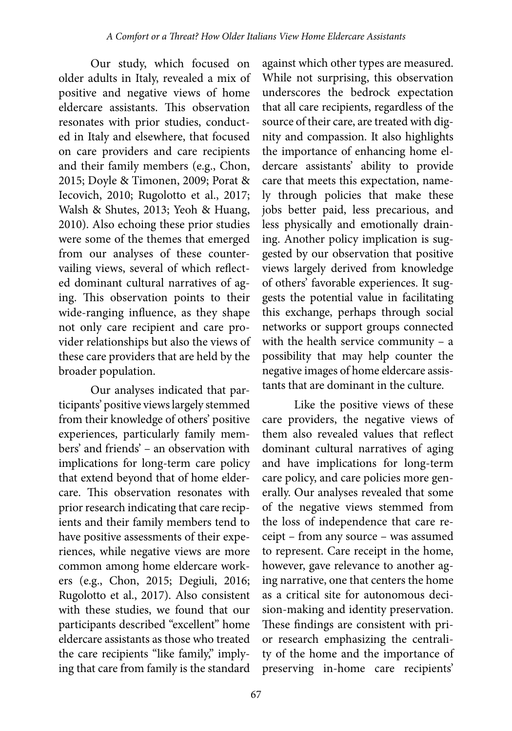Our study, which focused on older adults in Italy, revealed a mix of positive and negative views of home eldercare assistants. This observation resonates with prior studies, conducted in Italy and elsewhere, that focused on care providers and care recipients and their family members (e.g., Chon, 2015; Doyle & Timonen, 2009; Porat & Iecovich, 2010; Rugolotto et al., 2017; Walsh & Shutes, 2013; Yeoh & Huang, 2010). Also echoing these prior studies were some of the themes that emerged from our analyses of these countervailing views, several of which reflected dominant cultural narratives of aging. This observation points to their wide-ranging influence, as they shape not only care recipient and care provider relationships but also the views of these care providers that are held by the broader population.

Our analyses indicated that participants' positive views largely stemmed from their knowledge of others' positive experiences, particularly family members' and friends' – an observation with implications for long-term care policy that extend beyond that of home eldercare. This observation resonates with prior research indicating that care recipients and their family members tend to have positive assessments of their experiences, while negative views are more common among home eldercare workers (e.g., Chon, 2015; Degiuli, 2016; Rugolotto et al., 2017). Also consistent with these studies, we found that our participants described "excellent" home eldercare assistants as those who treated the care recipients "like family," implying that care from family is the standard

against which other types are measured. While not surprising, this observation underscores the bedrock expectation that all care recipients, regardless of the source of their care, are treated with dignity and compassion. It also highlights the importance of enhancing home eldercare assistants' ability to provide care that meets this expectation, namely through policies that make these jobs better paid, less precarious, and less physically and emotionally draining. Another policy implication is suggested by our observation that positive views largely derived from knowledge of others' favorable experiences. It suggests the potential value in facilitating this exchange, perhaps through social networks or support groups connected with the health service community – a possibility that may help counter the negative images of home eldercare assistants that are dominant in the culture.

Like the positive views of these care providers, the negative views of them also revealed values that reflect dominant cultural narratives of aging and have implications for long-term care policy, and care policies more generally. Our analyses revealed that some of the negative views stemmed from the loss of independence that care receipt – from any source – was assumed to represent. Care receipt in the home, however, gave relevance to another aging narrative, one that centers the home as a critical site for autonomous decision-making and identity preservation. These findings are consistent with prior research emphasizing the centrality of the home and the importance of preserving in-home care recipients'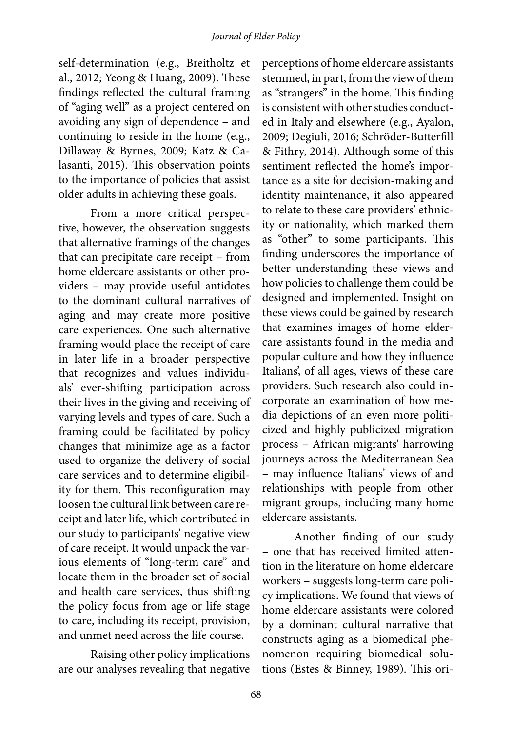self-determination (e.g., Breitholtz et al., 2012; Yeong & Huang, 2009). These findings reflected the cultural framing of "aging well" as a project centered on avoiding any sign of dependence – and continuing to reside in the home (e.g., Dillaway & Byrnes, 2009; Katz & Calasanti, 2015). This observation points to the importance of policies that assist older adults in achieving these goals.

From a more critical perspective, however, the observation suggests that alternative framings of the changes that can precipitate care receipt – from home eldercare assistants or other providers – may provide useful antidotes to the dominant cultural narratives of aging and may create more positive care experiences. One such alternative framing would place the receipt of care in later life in a broader perspective that recognizes and values individuals' ever-shifting participation across their lives in the giving and receiving of varying levels and types of care. Such a framing could be facilitated by policy changes that minimize age as a factor used to organize the delivery of social care services and to determine eligibility for them. This reconfiguration may loosen the cultural link between care receipt and later life, which contributed in our study to participants' negative view of care receipt. It would unpack the various elements of "long-term care" and locate them in the broader set of social and health care services, thus shifting the policy focus from age or life stage to care, including its receipt, provision, and unmet need across the life course.

Raising other policy implications are our analyses revealing that negative

perceptions of home eldercare assistants stemmed, in part, from the view of them as "strangers" in the home. This finding is consistent with other studies conducted in Italy and elsewhere (e.g., Ayalon, 2009; Degiuli, 2016; Schröder-Butterfill & Fithry, 2014). Although some of this sentiment reflected the home's importance as a site for decision-making and identity maintenance, it also appeared to relate to these care providers' ethnicity or nationality, which marked them as "other" to some participants. This finding underscores the importance of better understanding these views and how policies to challenge them could be designed and implemented. Insight on these views could be gained by research that examines images of home eldercare assistants found in the media and popular culture and how they influence Italians', of all ages, views of these care providers. Such research also could incorporate an examination of how media depictions of an even more politicized and highly publicized migration process – African migrants' harrowing journeys across the Mediterranean Sea – may influence Italians' views of and relationships with people from other migrant groups, including many home eldercare assistants.

Another finding of our study – one that has received limited attention in the literature on home eldercare workers – suggests long-term care policy implications. We found that views of home eldercare assistants were colored by a dominant cultural narrative that constructs aging as a biomedical phenomenon requiring biomedical solutions (Estes & Binney, 1989). This ori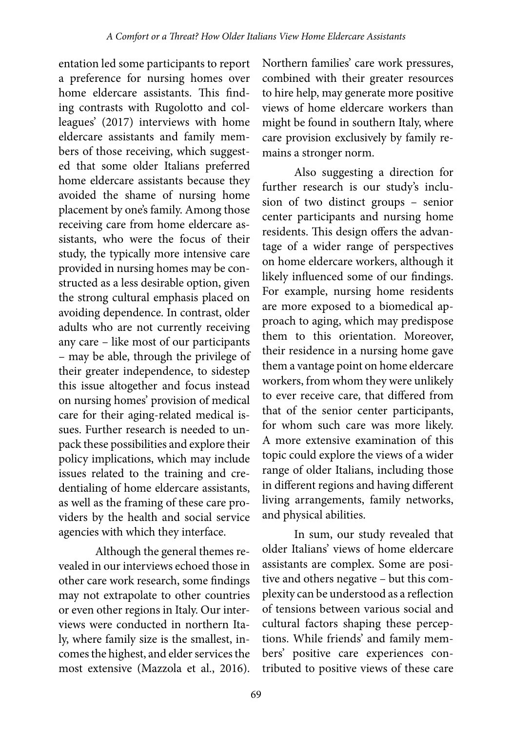entation led some participants to report a preference for nursing homes over home eldercare assistants. This finding contrasts with Rugolotto and colleagues' (2017) interviews with home eldercare assistants and family members of those receiving, which suggested that some older Italians preferred home eldercare assistants because they avoided the shame of nursing home placement by one's family. Among those receiving care from home eldercare assistants, who were the focus of their study, the typically more intensive care provided in nursing homes may be constructed as a less desirable option, given the strong cultural emphasis placed on avoiding dependence. In contrast, older adults who are not currently receiving any care – like most of our participants – may be able, through the privilege of their greater independence, to sidestep this issue altogether and focus instead on nursing homes' provision of medical care for their aging-related medical issues. Further research is needed to unpack these possibilities and explore their policy implications, which may include issues related to the training and credentialing of home eldercare assistants, as well as the framing of these care providers by the health and social service agencies with which they interface.

Although the general themes revealed in our interviews echoed those in other care work research, some findings may not extrapolate to other countries or even other regions in Italy. Our interviews were conducted in northern Italy, where family size is the smallest, incomes the highest, and elder services the most extensive (Mazzola et al., 2016).

Northern families' care work pressures, combined with their greater resources to hire help, may generate more positive views of home eldercare workers than might be found in southern Italy, where care provision exclusively by family remains a stronger norm.

Also suggesting a direction for further research is our study's inclusion of two distinct groups – senior center participants and nursing home residents. This design offers the advantage of a wider range of perspectives on home eldercare workers, although it likely influenced some of our findings. For example, nursing home residents are more exposed to a biomedical approach to aging, which may predispose them to this orientation. Moreover, their residence in a nursing home gave them a vantage point on home eldercare workers, from whom they were unlikely to ever receive care, that differed from that of the senior center participants, for whom such care was more likely. A more extensive examination of this topic could explore the views of a wider range of older Italians, including those in different regions and having different living arrangements, family networks, and physical abilities.

In sum, our study revealed that older Italians' views of home eldercare assistants are complex. Some are positive and others negative – but this complexity can be understood as a reflection of tensions between various social and cultural factors shaping these perceptions. While friends' and family members' positive care experiences contributed to positive views of these care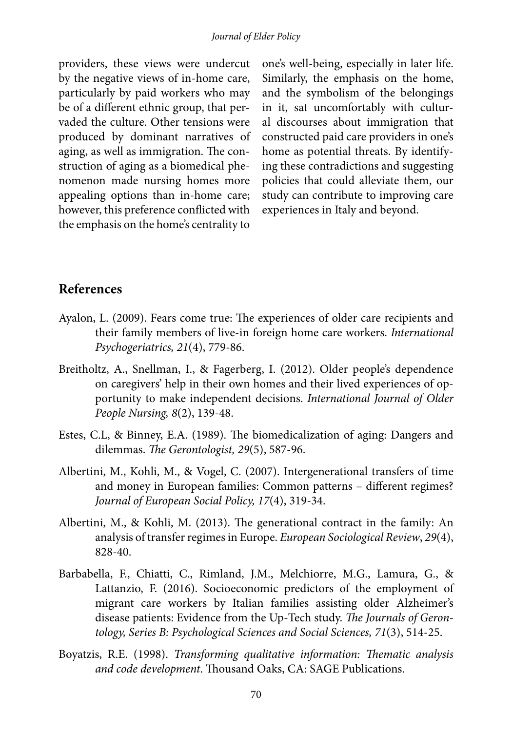providers, these views were undercut by the negative views of in-home care, particularly by paid workers who may be of a different ethnic group, that pervaded the culture. Other tensions were produced by dominant narratives of aging, as well as immigration. The construction of aging as a biomedical phenomenon made nursing homes more appealing options than in-home care; however, this preference conflicted with the emphasis on the home's centrality to

one's well-being, especially in later life. Similarly, the emphasis on the home, and the symbolism of the belongings in it, sat uncomfortably with cultural discourses about immigration that constructed paid care providers in one's home as potential threats. By identifying these contradictions and suggesting policies that could alleviate them, our study can contribute to improving care experiences in Italy and beyond.

### **References**

- Ayalon, L. (2009). Fears come true: The experiences of older care recipients and their family members of live-in foreign home care workers. *International Psychogeriatrics, 21*(4), 779-86.
- Breitholtz, A., Snellman, I., & Fagerberg, I. (2012). Older people's dependence on caregivers' help in their own homes and their lived experiences of opportunity to make independent decisions. *International Journal of Older People Nursing, 8*(2), 139-48.
- Estes, C.L, & Binney, E.A. (1989). The biomedicalization of aging: Dangers and dilemmas. *The Gerontologist, 29*(5), 587-96.
- Albertini, M., Kohli, M., & Vogel, C. (2007). Intergenerational transfers of time and money in European families: Common patterns – different regimes? *Journal of European Social Policy, 17*(4), 319-34.
- Albertini, M., & Kohli, M. (2013). The generational contract in the family: An analysis of transfer regimes in Europe. *European Sociological Review*, *29*(4), 828-40.
- Barbabella, F., Chiatti, C., Rimland, J.M., Melchiorre, M.G., Lamura, G., & Lattanzio, F. (2016). Socioeconomic predictors of the employment of migrant care workers by Italian families assisting older Alzheimer's disease patients: Evidence from the Up-Tech study. *The Journals of Gerontology, Series B: Psychological Sciences and Social Sciences, 71*(3), 514-25.
- Boyatzis, R.E. (1998). *Transforming qualitative information: Thematic analysis and code development*. Thousand Oaks, CA: SAGE Publications.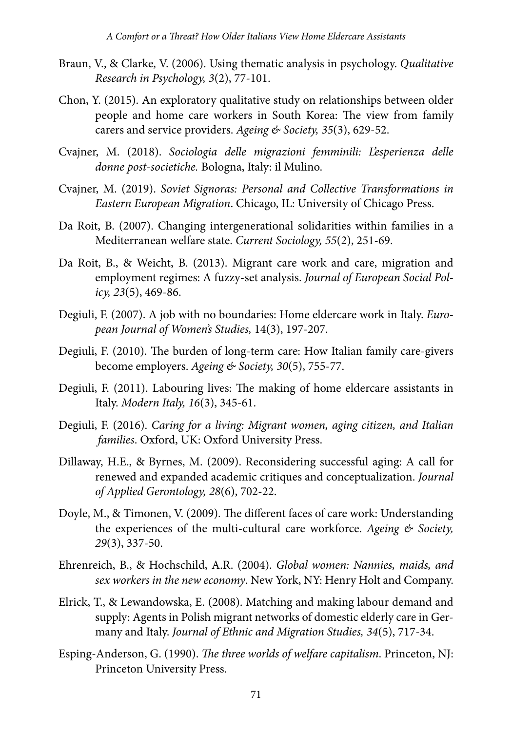- Braun, V., & Clarke, V. (2006). Using thematic analysis in psychology. *Qualitative Research in Psychology, 3*(2), 77-101.
- Chon, Y. (2015). An exploratory qualitative study on relationships between older people and home care workers in South Korea: The view from family carers and service providers. *Ageing & Society, 35*(3), 629-52.
- Cvajner, M. (2018). *Sociologia delle migrazioni femminili: L'esperienza delle donne post-societiche.* Bologna, Italy: il Mulino.
- Cvajner, M. (2019). *Soviet Signoras: Personal and Collective Transformations in Eastern European Migration*. Chicago, IL: University of Chicago Press.
- Da Roit, B. (2007). Changing intergenerational solidarities within families in a Mediterranean welfare state. *Current Sociology, 55*(2), 251-69.
- Da Roit, B., & Weicht, B. (2013). Migrant care work and care, migration and employment regimes: A fuzzy-set analysis. *Journal of European Social Policy, 23*(5), 469-86.
- Degiuli, F. (2007). A job with no boundaries: Home eldercare work in Italy. *European Journal of Women's Studies,* 14(3), 197-207.
- Degiuli, F. (2010). The burden of long-term care: How Italian family care-givers become employers. *Ageing & Society, 30*(5), 755-77.
- Degiuli, F. (2011). Labouring lives: The making of home eldercare assistants in Italy. *Modern Italy, 16*(3), 345-61.
- Degiuli, F. (2016). *Caring for a living: Migrant women, aging citizen, and Italian families*. Oxford, UK: Oxford University Press.
- Dillaway, H.E., & Byrnes, M. (2009). Reconsidering successful aging: A call for renewed and expanded academic critiques and conceptualization. *Journal of Applied Gerontology, 28*(6), 702-22.
- Doyle, M., & Timonen, V. (2009). The different faces of care work: Understanding the experiences of the multi-cultural care workforce. *Ageing & Society, 29*(3), 337-50.
- Ehrenreich, B., & Hochschild, A.R. (2004). *Global women: Nannies, maids, and sex workers in the new economy*. New York, NY: Henry Holt and Company.
- Elrick, T., & Lewandowska, E. (2008). Matching and making labour demand and supply: Agents in Polish migrant networks of domestic elderly care in Germany and Italy. *Journal of Ethnic and Migration Studies, 34*(5), 717-34.
- Esping-Anderson, G. (1990). *The three worlds of welfare capitalism*. Princeton, NJ: Princeton University Press.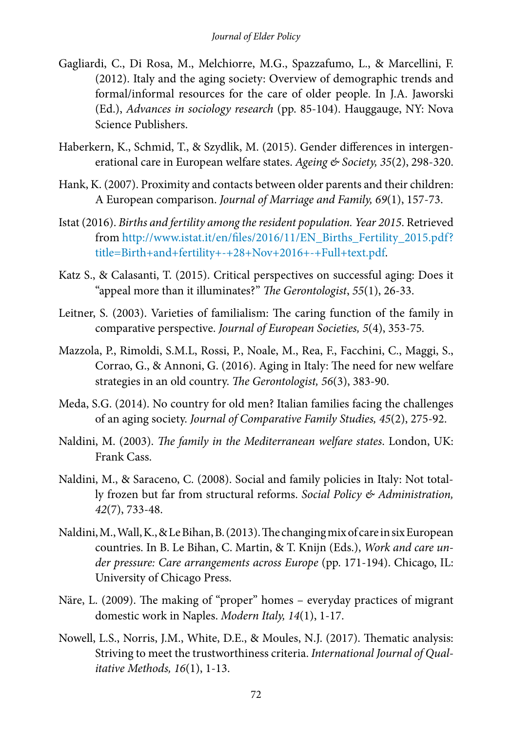- Gagliardi, C., Di Rosa, M., Melchiorre, M.G., Spazzafumo, L., & Marcellini, F. (2012). Italy and the aging society: Overview of demographic trends and formal/informal resources for the care of older people. In J.A. Jaworski (Ed.), *Advances in sociology research* (pp. 85-104). Hauggauge, NY: Nova Science Publishers.
- Haberkern, K., Schmid, T., & Szydlik, M. (2015). Gender differences in intergenerational care in European welfare states. *Ageing & Society, 35*(2), 298-320.
- Hank, K. (2007). Proximity and contacts between older parents and their children: A European comparison. *Journal of Marriage and Family, 69*(1), 157-73.
- Istat (2016). *Births and fertility among the resident population. Year 2015*. Retrieved from [http://www.istat.it/en/files/2016/11/EN\\_Births\\_Fertility\\_2015.pdf?](http://www.istat.it/en/files/2016/11/EN_Births_Fertility_2015.pdf?title=Birth+and+fertility+-+28+Nov+2016+-+Full+text.pdf) [title=Birth+and+fertility+-+28+Nov+2016+-+Full+text.pdf](http://www.istat.it/en/files/2016/11/EN_Births_Fertility_2015.pdf?title=Birth+and+fertility+-+28+Nov+2016+-+Full+text.pdf).
- Katz S., & Calasanti, T. (2015). Critical perspectives on successful aging: Does it "appeal more than it illuminates?" *The Gerontologist*, *55*(1), 26-33.
- Leitner, S. (2003). Varieties of familialism: The caring function of the family in comparative perspective. *Journal of European Societies, 5*(4), 353-75*.*
- Mazzola, P., Rimoldi, S.M.L, Rossi, P., Noale, M., Rea, F., Facchini, C., Maggi, S., Corrao, G., & Annoni, G. (2016). Aging in Italy: The need for new welfare strategies in an old country. *The Gerontologist, 56*(3), 383-90.
- Meda, S.G. (2014). No country for old men? Italian families facing the challenges of an aging society. *Journal of Comparative Family Studies, 45*(2), 275-92.
- Naldini, M. (2003). *The family in the Mediterranean welfare states*. London, UK: Frank Cass.
- Naldini, M., & Saraceno, C. (2008). Social and family policies in Italy: Not totally frozen but far from structural reforms. *Social Policy & Administration, 42*(7), 733-48.
- Naldini, M., Wall, K., & Le Bihan, B. (2013). The changing mix of care in six European countries. In B. Le Bihan, C. Martin, & T. Knijn (Eds.), *Work and care under pressure: Care arrangements across Europe* (pp. 171-194). Chicago, IL: University of Chicago Press.
- [Näre,](https://www.tandfonline.com/author/N%C3%A4re%2C+Lena) L. (2009). The making of "proper" homes everyday practices of migrant domestic work in Naples. *Modern Italy, 14*(1), 1-17.
- Nowell, L.S., Norris, J.M., White, D.E., & Moules, N.J. (2017). Thematic analysis: Striving to meet the trustworthiness criteria. *International Journal of Qualitative Methods, 16*(1), 1-13.